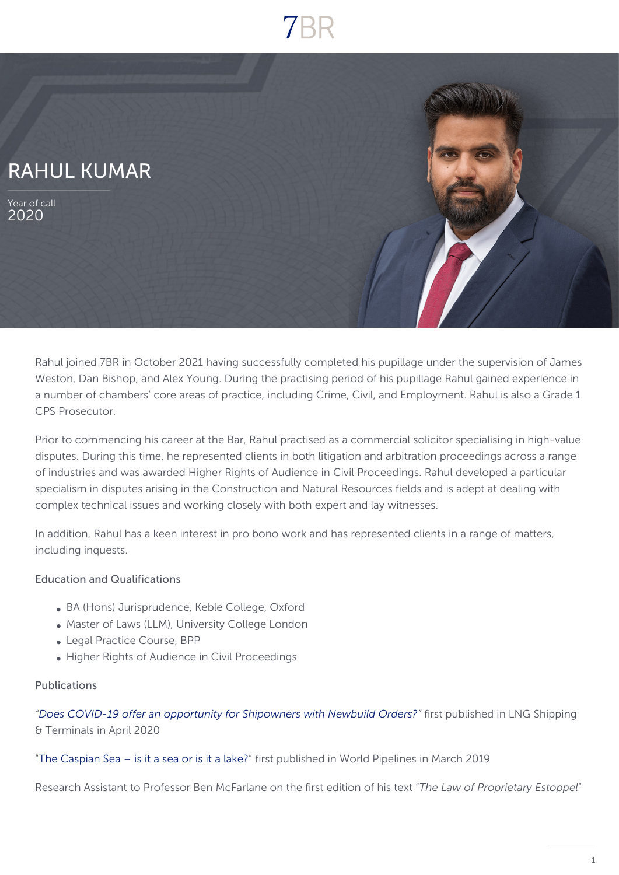

Rahul joined 7BR in October 2021 having successfully completed his pupillage under the supervision of James Weston, Dan Bishop, and Alex Young. During the practising period of his pupillage Rahul gained experience in a number of chambers' core areas of practice, including Crime, Civil, and Employment. Rahul is also a Grade 1 CPS Prosecutor.

Prior to commencing his career at the Bar, Rahul practised as a commercial solicitor specialising in high-value disputes. During this time, he represented clients in both litigation and arbitration proceedings across a range of industries and was awarded Higher Rights of Audience in Civil Proceedings. Rahul developed a particular specialism in disputes arising in the Construction and Natural Resources fields and is adept at dealing with complex technical issues and working closely with both expert and lay witnesses.

In addition, Rahul has a keen interest in pro bono work and has represented clients in a range of matters, including inquests.

### Education and Qualifications

- BA (Hons) Jurisprudence, Keble College, Oxford
- Master of Laws (LLM), University College London
- Legal Practice Course, BPP
- Higher Rights of Audience in Civil Proceedings

### Publications

*["Does COVID-19 offer an opportunity for Shipowners with Newbuild Orders?"](https://www.rivieramm.com/opinion/does-covid-19-offer-an-opportunity-for-shipowners-with-newbuild-orders-59044)* first published in LNG Shipping & Terminals in April 2020

["The Caspian Sea – is it a sea or is it a lake?](https://www.worldpipelines.com/magazine/world-pipelines/march-2019/)" first published in World Pipelines in March 2019

Research Assistant to Professor Ben McFarlane on the first edition of his text "*The Law of Proprietary Estoppel*"